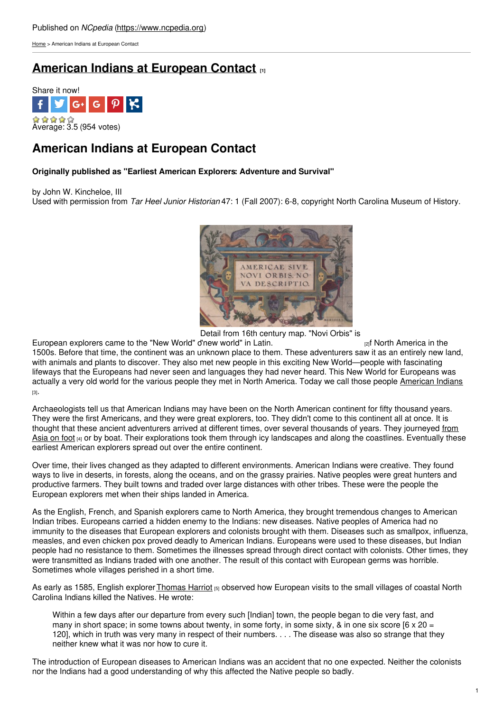[Home](https://www.ncpedia.org/) > American Indians at European Contact

# **American Indians at [European](https://www.ncpedia.org/history/early/contact) Contact [1]**



# **American Indians at European Contact**

## **Originally published as "Earliest American Explorers: Adventure and Survival"**

by John W. Kincheloe, III Used with permission from *Tar Heel Junior Historian* 47: 1 (Fall 2007): 6-8, copyright North Carolina Museum of History.



Detail from 16th century map. "Novi Orbis" is

European explorers came to the "New World" d'new world" in Latin. [2]f North America in the 1500s. Before that time, the continent was an unknown place to them. These adventurers saw it as an entirely new land, with animals and plants to discover. They also met new people in this exciting New World—people with fascinating lifeways that the Europeans had never seen and languages they had never heard. This New World for Europeans was actually a very old world for the various people they met in North America. Today we call those people [American](https://ncpedia.org/category/subjects/american-indian) Indians [3].

Archaeologists tell us that American Indians may have been on the North American continent for fifty thousand years. They were the first Americans, and they were great explorers, too. They didn't come to this continent all at once. It is thought that these ancient adventurers arrived at different times, over several thousands of years. They journeyed from Asia on foot [4] or by boat. Their [explorations](https://www.nps.gov/bela/learn/historyculture/bering-land-bridge.htm) took them through icy landscapes and along the coastlines. Eventually these earliest American explorers spread out over the entire continent.

Over time, their lives changed as they adapted to different environments. American Indians were creative. They found ways to live in deserts, in forests, along the oceans, and on the grassy prairies. Native peoples were great hunters and productive farmers. They built towns and traded over large distances with other tribes. These were the people the European explorers met when their ships landed in America.

As the English, French, and Spanish explorers came to North America, they brought tremendous changes to American Indian tribes. Europeans carried a hidden enemy to the Indians: new diseases. Native peoples of America had no immunity to the diseases that European explorers and colonists brought with them. Diseases such as smallpox, influenza, measles, and even chicken pox proved deadly to American Indians. Europeans were used to these diseases, but Indian people had no resistance to them. Sometimes the illnesses spread through direct contact with colonists. Other times, they were transmitted as Indians traded with one another. The result of this contact with European germs was horrible. Sometimes whole villages perished in a short time.

As early as 1585, English explorer [Thomas](https://www.ncpedia.org/biography/harriot-hariot-or) Harriot [5] observed how European visits to the small villages of coastal North Carolina Indians killed the Natives. He wrote:

Within a few days after our departure from every such [Indian] town, the people began to die very fast, and many in short space; in some towns about twenty, in some forty, in some sixty, & in one six score  $[6 \times 20 =$ 120], which in truth was very many in respect of their numbers. . . . The disease was also so strange that they neither knew what it was nor how to cure it.

The introduction of European diseases to American Indians was an accident that no one expected. Neither the colonists nor the Indians had a good understanding of why this affected the Native people so badly.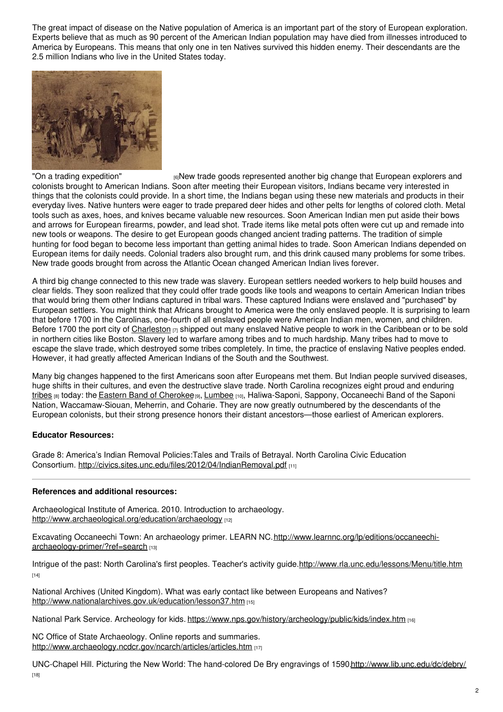The great impact of disease on the Native population of America is an important part of the story of European exploration. Experts believe that as much as 90 percent of the American Indian population may have died from illnesses introduced to America by Europeans. This means that only one in ten Natives survived this hidden enemy. Their descendants are the 2.5 million Indians who live in the United States today.



"On a trading [expedition"](http://www.loc.gov/pictures/item/2006676509/)  $\frac{1}{6}$ New trade goods represented another big change that European explorers and colonists brought to American Indians. Soon after meeting their European visitors, Indians became very interested in things that the colonists could provide. In a short time, the Indians began using these new materials and products in their everyday lives. Native hunters were eager to trade prepared deer hides and other pelts for lengths of colored cloth. Metal tools such as axes, hoes, and knives became valuable new resources. Soon American Indian men put aside their bows and arrows for European firearms, powder, and lead shot. Trade items like metal pots often were cut up and remade into new tools or weapons. The desire to get European goods changed ancient trading patterns. The tradition of simple hunting for food began to become less important than getting animal hides to trade. Soon American Indians depended on European items for daily needs. Colonial traders also brought rum, and this drink caused many problems for some tribes. New trade goods brought from across the Atlantic Ocean changed American Indian lives forever.

A third big change connected to this new trade was slavery. European settlers needed workers to help build houses and clear fields. They soon realized that they could offer trade goods like tools and weapons to certain American Indian tribes that would bring them other Indians captured in tribal wars. These captured Indians were enslaved and "purchased" by European settlers. You might think that Africans brought to America were the only enslaved people. It is surprising to learn that before 1700 in the Carolinas, one-fourth of all enslaved people were American Indian men, women, and children. Before 1700 the port city of [Charleston](https://www.nps.gov/nr/travel/charleston/osm.htm)  $\overline{p}$  shipped out many enslaved Native people to work in the Caribbean or to be sold in northern cities like Boston. Slavery led to warfare among tribes and to much hardship. Many tribes had to move to escape the slave trade, which destroyed some tribes completely. In time, the practice of enslaving Native peoples ended. However, it had greatly affected American Indians of the South and the Southwest.

Many big changes happened to the first Americans soon after Europeans met them. But Indian people survived diseases, huge shifts in their cultures, and even the destructive slave trade. North Carolina recognizes eight proud and enduring [tribes](https://ncpedia.org/tribes) [8] today: the Eastern Band of [Cherokee](https://ncpedia.org/cherokee/modernday)<sup>[9]</sup>, [Lumbee](https://ncpedia.org/lumbee) [10], Haliwa-Saponi, Sappony, Occaneechi Band of the Saponi Nation, Waccamaw-Siouan, Meherrin, and Coharie. They are now greatly outnumbered by the descendants of the European colonists, but their strong presence honors their distant ancestors—those earliest of American explorers.

### **Educator Resources:**

Grade 8: America's Indian Removal Policies:Tales and Trails of Betrayal. North Carolina Civic Education Consortium. <http://civics.sites.unc.edu/files/2012/04/IndianRemoval.pdf> [11]

### **References and additional resources:**

Archaeological Institute of America. 2010. Introduction to archaeology. <http://www.archaeological.org/education/archaeology> [12]

Excavating Occaneechi Town: An archaeology primer. LEARN [NC.http://www.learnnc.org/lp/editions/occaneechi](http://www.learnnc.org/lp/editions/occaneechi-archaeology-primer/?ref=search)archaeology-primer/?ref=search [13]

Intrigue of the past: North Carolina's first peoples. Teacher's activity guide[.http://www.rla.unc.edu/lessons/Menu/title.htm](http://www.rla.unc.edu/lessons/Menu/title.htm) [14]

National Archives (United Kingdom). What was early contact like between Europeans and Natives? <http://www.nationalarchives.gov.uk/education/lesson37.htm> [15]

National Park Service. Archeology for kids. <https://www.nps.gov/history/archeology/public/kids/index.htm> [16]

NC Office of State Archaeology. Online reports and summaries. <http://www.archaeology.ncdcr.gov/ncarch/articles/articles.htm> [17]

UNC-Chapel Hill. Picturing the New World: The hand-colored De Bry engravings of 1590[.http://www.lib.unc.edu/dc/debry/](http://www.lib.unc.edu/dc/debry/)  $[18]$